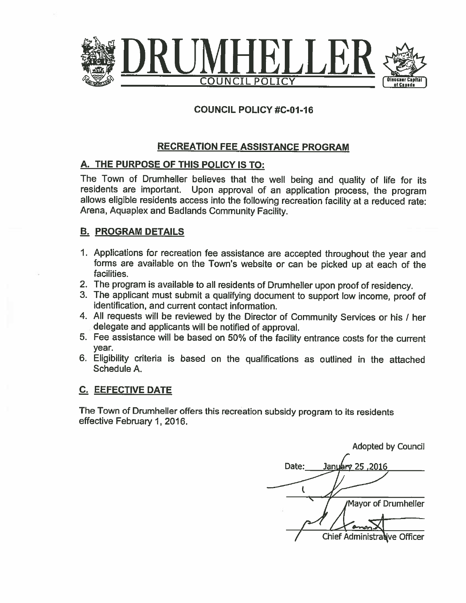

#### **COUNCIL POLICY #C-01-16**

#### **RECREATION FEE ASSISTANCE PROGRAM**

#### A. THE PURPOSE OF THIS POLICY IS TO:

The Town of Drumheller believes that the well being and quality of life for its residents are important. Upon approval of an application process, the program allows eligible residents access into the following recreation facility at a reduced rate: Arena, Aquaplex and Badlands Community Facility.

#### **B. PROGRAM DETAILS**

- 1. Applications for recreation fee assistance are accepted throughout the year and forms are available on the Town's website or can be picked up at each of the facilities.
- 2. The program is available to all residents of Drumheller upon proof of residency.
- 3. The applicant must submit a qualifying document to support low income, proof of identification, and current contact information.
- 4. All requests will be reviewed by the Director of Community Services or his / her delegate and applicants will be notified of approval.
- 5. Fee assistance will be based on 50% of the facility entrance costs for the current vear.
- 6. Eligibility criteria is based on the qualifications as outlined in the attached Schedule A.

#### **C. EEFECTIVE DATE**

The Town of Drumheller offers this recreation subsidy program to its residents effective February 1, 2016.

**Adopted by Council** Date: 2016, 25 Pa<del>l</del> Janu ι Mayor of Drumheller Chief Administralive Officer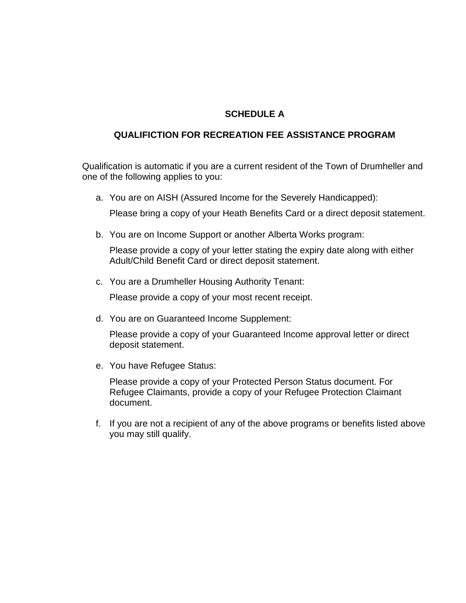#### **SCHEDULE A**

#### **QUALIFICTION FOR RECREATION FEE ASSISTANCE PROGRAM**

Qualification is automatic if you are a current resident of the Town of Drumheller and one of the following applies to you:

a. You are on AISH (Assured Income for the Severely Handicapped):

Please bring a copy of your Heath Benefits Card or a direct deposit statement.

b. You are on Income Support or another Alberta Works program:

Please provide a copy of your letter stating the expiry date along with either Adult/Child Benefit Card or direct deposit statement.

c. You are a Drumheller Housing Authority Tenant:

Please provide a copy of your most recent receipt.

d. You are on Guaranteed Income Supplement:

Please provide a copy of your Guaranteed Income approval letter or direct deposit statement.

e. You have Refugee Status:

Please provide a copy of your Protected Person Status document. For Refugee Claimants, provide a copy of your Refugee Protection Claimant document.

f. If you are not a recipient of any of the above programs or benefits listed above you may still qualify.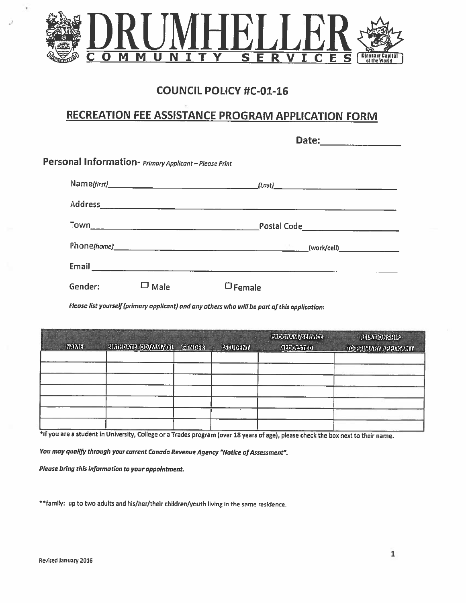

### **COUNCIL POLICY #C-01-16**

# **RECREATION FEE ASSISTANCE PROGRAM APPLICATION FORM**

| Personal Information- Primary Applicant - Please Print |      |        |  |  |
|--------------------------------------------------------|------|--------|--|--|
|                                                        |      |        |  |  |
|                                                        |      |        |  |  |
|                                                        |      |        |  |  |
|                                                        |      |        |  |  |
|                                                        |      |        |  |  |
| Gender:                                                | Male | Female |  |  |

Please list yourself (primary applicant) and any others who will be part of this application:

| <b>Photo Children M.I.W.II</b><br><b>TAME</b> | the control and the control of the control of the control of the control of<br><b>EIGHDNELODAMWW)</b> | GENDER | <b>STUDENT</b> | <b>FIDERAM/SHAMES</b><br><b>REQUESTED</b> | RENONHIP<br>TO PRIMARY APPREANT |
|-----------------------------------------------|-------------------------------------------------------------------------------------------------------|--------|----------------|-------------------------------------------|---------------------------------|
|                                               |                                                                                                       |        |                |                                           |                                 |
|                                               |                                                                                                       |        |                |                                           |                                 |
|                                               |                                                                                                       |        |                |                                           |                                 |
|                                               |                                                                                                       |        |                |                                           |                                 |

\*If you are a student in University, College or a Trades program (over 18 years of age), please check the box next to their name.

You may qualify through your current Canada Revenue Agency "Notice of Assessment".

Please bring this information to your appointment.

\*\* family: up to two adults and his/her/their children/youth living in the same residence.